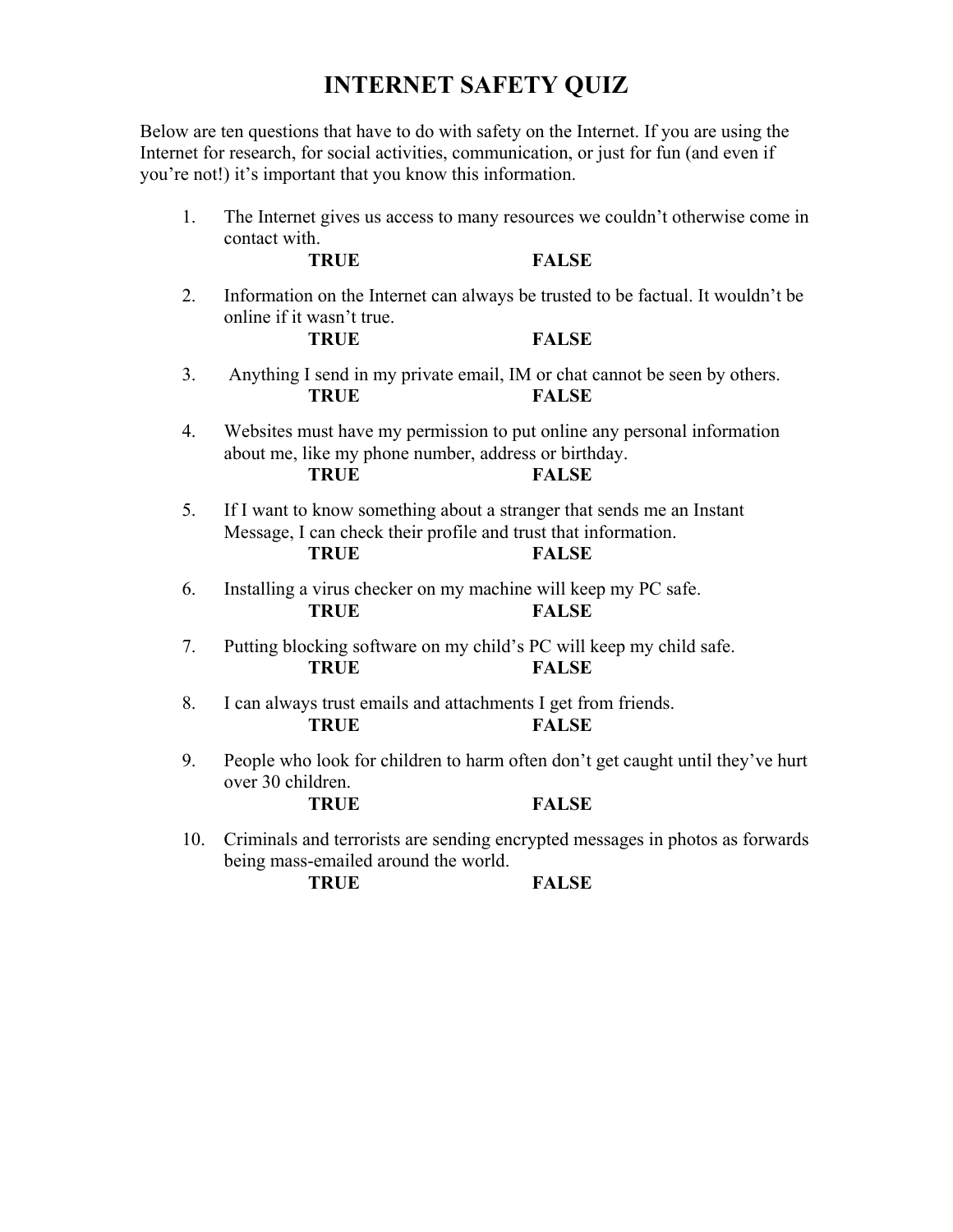## **INTERNET SAFETY QUIZ**

Below are ten questions that have to do with safety on the Internet. If you are using the Internet for research, for social activities, communication, or just for fun (and even if you're not!) it's important that you know this information.

| 1.  | The Internet gives us access to many resources we couldn't otherwise come in<br>contact with.                                                                          |              |
|-----|------------------------------------------------------------------------------------------------------------------------------------------------------------------------|--------------|
|     | <b>TRUE</b>                                                                                                                                                            | <b>FALSE</b> |
| 2.  | Information on the Internet can always be trusted to be factual. It wouldn't be<br>online if it wasn't true.<br><b>TRUE</b><br><b>FALSE</b>                            |              |
|     |                                                                                                                                                                        |              |
| 3.  | Anything I send in my private email, IM or chat cannot be seen by others.<br><b>TRUE</b>                                                                               | <b>FALSE</b> |
| 4.  | Websites must have my permission to put online any personal information<br>about me, like my phone number, address or birthday.<br><b>TRUE</b><br><b>FALSE</b>         |              |
| 5.  | If I want to know something about a stranger that sends me an Instant<br>Message, I can check their profile and trust that information.<br><b>TRUE</b><br><b>FALSE</b> |              |
| 6.  | Installing a virus checker on my machine will keep my PC safe.<br><b>TRUE</b>                                                                                          | <b>FALSE</b> |
| 7.  | Putting blocking software on my child's PC will keep my child safe.<br><b>TRUE</b>                                                                                     | <b>FALSE</b> |
| 8.  | I can always trust emails and attachments I get from friends.<br><b>TRUE</b><br><b>FALSE</b>                                                                           |              |
| 9.  | People who look for children to harm often don't get caught until they've hurt<br>over 30 children.                                                                    |              |
|     | <b>TRUE</b>                                                                                                                                                            | <b>FALSE</b> |
| 10. | Criminals and terrorists are sending encrypted messages in photos as forwards<br>being mass-emailed around the world.                                                  |              |

**TRUE FALSE**